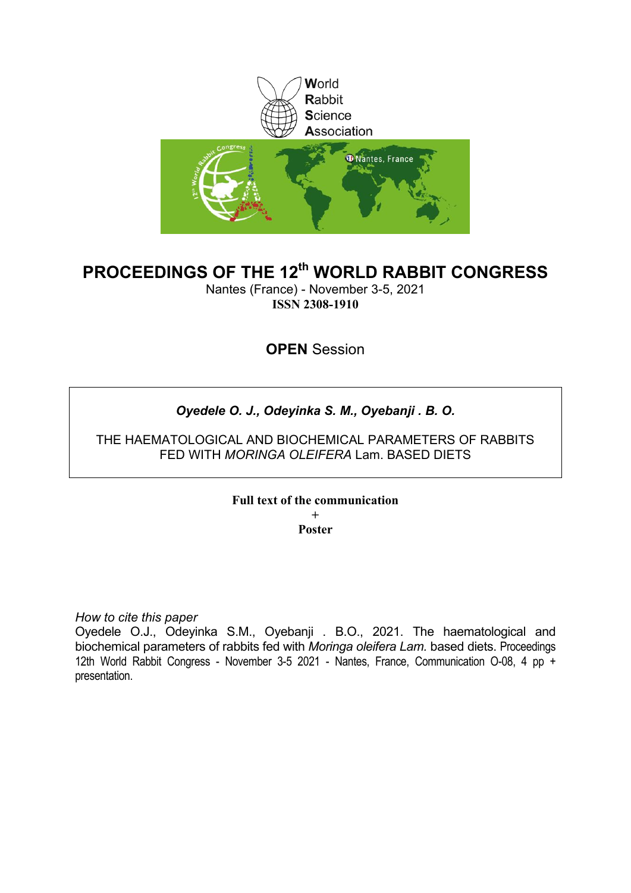

# **PROCEEDINGS OF THE 12th WORLD RABBIT CONGRESS**

Nantes (France) - November 3-5, 2021 **ISSN 2308-1910**

## **OPEN** Session

## *Oyedele O. J., Odeyinka S. M., Oyebanji . B. O.*

THE HAEMATOLOGICAL AND BIOCHEMICAL PARAMETERS OF RABBITS FED WITH *MORINGA OLEIFERA* Lam. BASED DIETS

> **Full text of the communication + Poster**

*How to cite this paper*

Oyedele O.J., Odeyinka S.M., Oyebanji . B.O., 2021. The haematological and biochemical parameters of rabbits fed with *Moringa oleifera Lam.* based diets. Proceedings 12th World Rabbit Congress - November 3-5 2021 - Nantes, France, Communication O-08, 4 pp + presentation.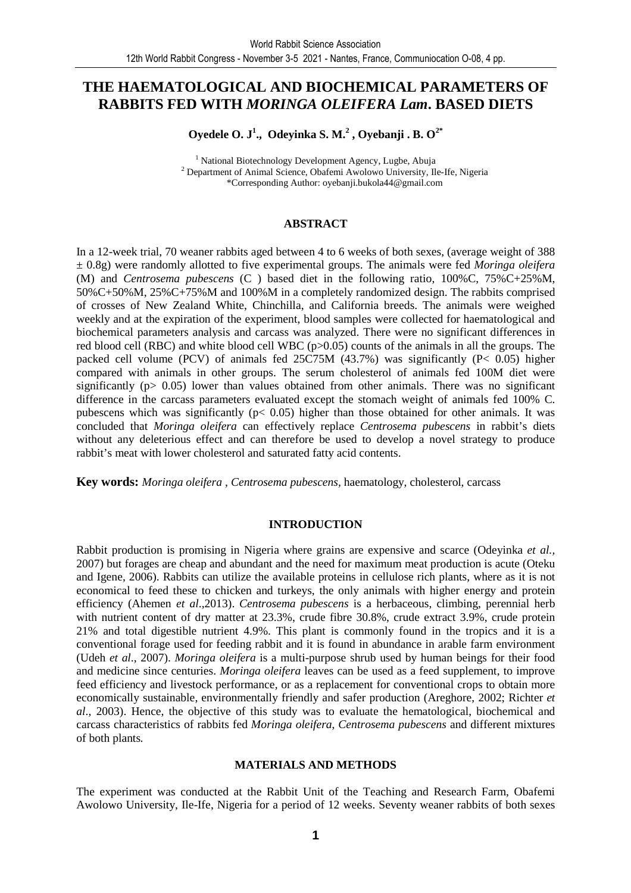### **THE HAEMATOLOGICAL AND BIOCHEMICAL PARAMETERS OF RABBITS FED WITH** *MORINGA OLEIFERA Lam***. BASED DIETS**

**Oyedele O. J<sup>1</sup> ., Odeyinka S. M.<sup>2</sup> , Oyebanji . B. O2\***

<sup>1</sup> National Biotechnology Development Agency, Lugbe, Abuja 2 Department of Animal Science, Obafemi Awolowo University, Ile-Ife, Nigeria \*Corresponding Author: oyebanji.bukola44@gmail.com

#### **ABSTRACT**

In a 12-week trial, 70 weaner rabbits aged between 4 to 6 weeks of both sexes, (average weight of 388 ± 0.8g) were randomly allotted to five experimental groups. The animals were fed *Moringa oleifera*  (M) and *Centrosema pubescens* (C ) based diet in the following ratio, 100%C, 75%C+25%M, 50%C+50%M, 25%C+75%M and 100%M in a completely randomized design. The rabbits comprised of crosses of New Zealand White, Chinchilla, and California breeds. The animals were weighed weekly and at the expiration of the experiment, blood samples were collected for haematological and biochemical parameters analysis and carcass was analyzed. There were no significant differences in red blood cell (RBC) and white blood cell WBC (p>0.05) counts of the animals in all the groups. The packed cell volume (PCV) of animals fed 25C75M (43.7%) was significantly (P< 0.05) higher compared with animals in other groups. The serum cholesterol of animals fed 100M diet were significantly ( $p > 0.05$ ) lower than values obtained from other animals. There was no significant difference in the carcass parameters evaluated except the stomach weight of animals fed 100% C. pubescens which was significantly ( $p < 0.05$ ) higher than those obtained for other animals. It was concluded that *Moringa oleifera* can effectively replace *Centrosema pubescens* in rabbit's diets without any deleterious effect and can therefore be used to develop a novel strategy to produce rabbit's meat with lower cholesterol and saturated fatty acid contents.

**Key words:** *Moringa oleifera* , *Centrosema pubescens,* haematology, cholesterol, carcass

#### **INTRODUCTION**

Rabbit production is promising in Nigeria where grains are expensive and scarce (Odeyinka *et al.,* 2007) but forages are cheap and abundant and the need for maximum meat production is acute (Oteku and Igene, 2006). Rabbits can utilize the available proteins in cellulose rich plants, where as it is not economical to feed these to chicken and turkeys, the only animals with higher energy and protein efficiency (Ahemen *et al*.,2013). *Centrosema pubescens* is a herbaceous, climbing, perennial herb with nutrient content of dry matter at  $23.3\%$ , crude fibre 30.8%, crude extract 3.9%, crude protein 21% and total digestible nutrient 4.9%. This plant is commonly found in the tropics and it is a conventional forage used for feeding rabbit and it is found in abundance in arable farm environment (Udeh *et al*., 2007). *Moringa oleifera* is a multi-purpose shrub used by human beings for their food and medicine since centuries. *Moringa oleifera* leaves can be used as a feed supplement, to improve feed efficiency and livestock performance, or as a replacement for conventional crops to obtain more economically sustainable, environmentally friendly and safer production (Areghore, 2002; Richter *et al*., 2003). Hence, the objective of this study was to evaluate the hematological, biochemical and carcass characteristics of rabbits fed *Moringa oleifera*, *Centrosema pubescens* and different mixtures of both plants*.*

#### **MATERIALS AND METHODS**

The experiment was conducted at the Rabbit Unit of the Teaching and Research Farm, Obafemi Awolowo University, Ile-Ife, Nigeria for a period of 12 weeks. Seventy weaner rabbits of both sexes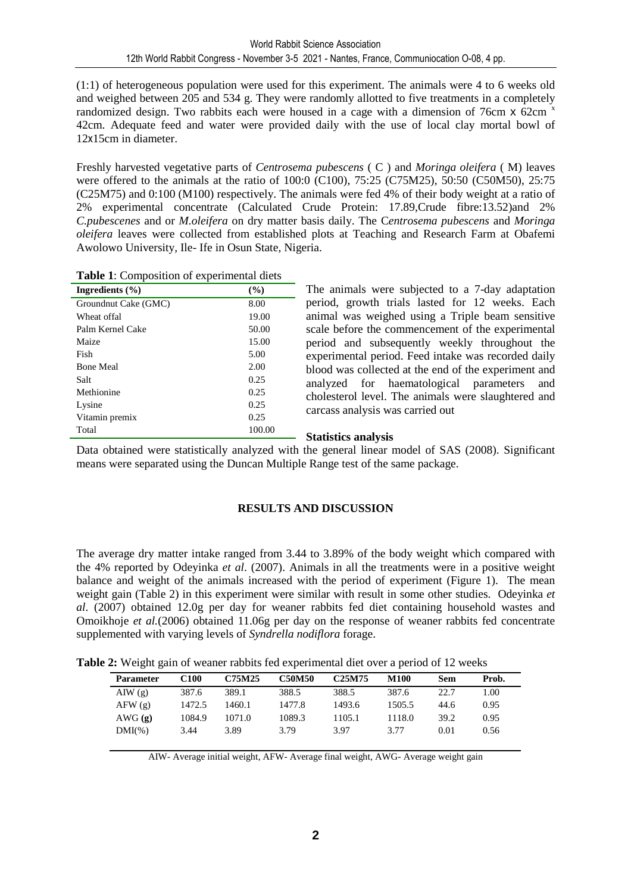(1:1) of heterogeneous population were used for this experiment. The animals were 4 to 6 weeks old and weighed between 205 and 534 g. They were randomly allotted to five treatments in a completely randomized design. Two rabbits each were housed in a cage with a dimension of 76cm  $\times$  62cm  $\times$ 42cm. Adequate feed and water were provided daily with the use of local clay mortal bowl of 12x15cm in diameter.

Freshly harvested vegetative parts of *Centrosema pubescens* ( C ) and *Moringa oleifera* ( M) leaves were offered to the animals at the ratio of 100:0 (C100), 75:25 (C75M25), 50:50 (C50M50), 25:75 (C25M75) and 0:100 (M100) respectively. The animals were fed 4% of their body weight at a ratio of 2% experimental concentrate (Calculated Crude Protein: 17.89,Crude fibre:13.52)and 2% *C.pubescenes* and or *M.oleifera* on dry matter basis daily. The C*entrosema pubescens* and *Moringa oleifera* leaves were collected from established plots at Teaching and Research Farm at Obafemi Awolowo University, Ile- Ife in Osun State, Nigeria.

| Ingredients $(\% )$  | $($ %) |
|----------------------|--------|
| Groundnut Cake (GMC) | 8.00   |
| Wheat offal          | 19.00  |
| Palm Kernel Cake     | 50.00  |
| Maize                | 15.00  |
| Fish                 | 5.00   |
| <b>Bone Meal</b>     | 2.00   |
| Salt                 | 0.25   |
| Methionine           | 0.25   |
| Lysine               | 0.25   |
| Vitamin premix       | 0.25   |
| Total                | 100.00 |

**Table 1**: Composition of experimental diets

The animals were subjected to a 7-day adaptation period, growth trials lasted for 12 weeks. Each animal was weighed using a Triple beam sensitive scale before the commencement of the experimental period and subsequently weekly throughout the experimental period. Feed intake was recorded daily blood was collected at the end of the experiment and analyzed for haematological parameters and cholesterol level. The animals were slaughtered and carcass analysis was carried out

#### **Statistics analysis**

Data obtained were statistically analyzed with the general linear model of SAS (2008). Significant means were separated using the Duncan Multiple Range test of the same package.

### **RESULTS AND DISCUSSION**

The average dry matter intake ranged from 3.44 to 3.89% of the body weight which compared with the 4% reported by Odeyinka *et al*. (2007). Animals in all the treatments were in a positive weight balance and weight of the animals increased with the period of experiment (Figure 1). The mean weight gain (Table 2) in this experiment were similar with result in some other studies. Odeyinka *et al*. (2007) obtained 12.0g per day for weaner rabbits fed diet containing household wastes and Omoikhoje *et al.*(2006) obtained 11.06g per day on the response of weaner rabbits fed concentrate supplemented with varying levels of *Syndrella nodiflora* forage.

**Table 2:** Weight gain of weaner rabbits fed experimental diet over a period of 12 weeks

| <b>Parameter</b> | C100   | C75M25 | <b>C50M50</b> | C <sub>25</sub> M <sub>75</sub> | M100   | Sem  | Prob. |  |
|------------------|--------|--------|---------------|---------------------------------|--------|------|-------|--|
| AIW(g)           | 387.6  | 389.1  | 388.5         | 388.5                           | 387.6  | 22.7 | 1.00  |  |
| AFW(g)           | 1472.5 | 1460.1 | 1477.8        | 1493.6                          | 1505.5 | 44.6 | 0.95  |  |
| AWG(g)           | 1084.9 | 1071.0 | 1089.3        | 1105.1                          | 1118.0 | 39.2 | 0.95  |  |
| $DMI(\%)$        | 3.44   | 3.89   | 3.79          | 3.97                            | 3.77   | 0.01 | 0.56  |  |
|                  |        |        |               |                                 |        |      |       |  |

AIW- Average initial weight, AFW- Average final weight, AWG- Average weight gain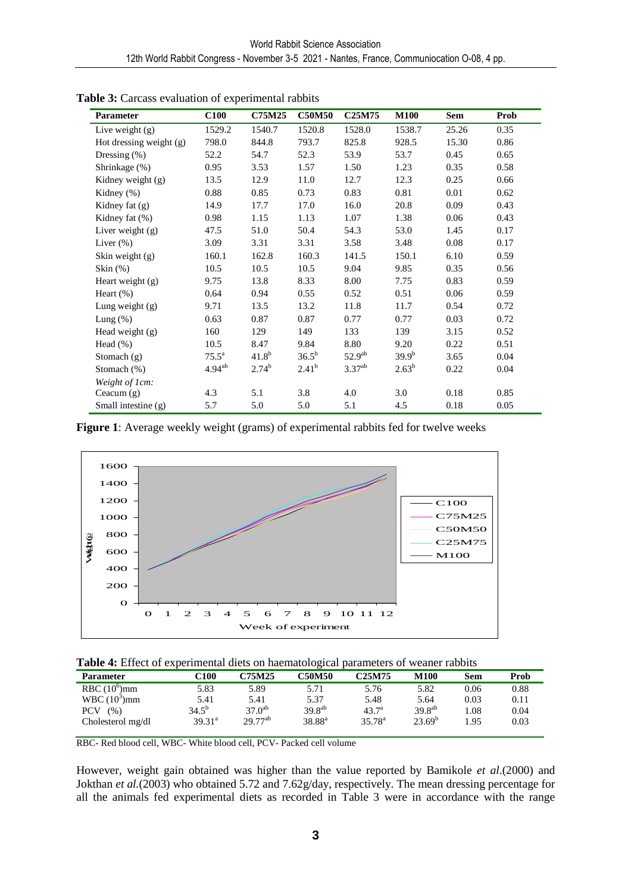| <b>Parameter</b>          | <b>C100</b>    | <b>C75M25</b> | <b>C50M50</b> | C <sub>25</sub> M <sub>75</sub> | <b>M100</b> | <b>Sem</b> | Prob |
|---------------------------|----------------|---------------|---------------|---------------------------------|-------------|------------|------|
| Live weight $(g)$         | 1529.2         | 1540.7        | 1520.8        | 1528.0                          | 1538.7      | 25.26      | 0.35 |
| Hot dressing weight $(g)$ | 798.0          | 844.8         | 793.7         | 825.8                           | 928.5       | 15.30      | 0.86 |
| Dressing $(\%)$           | 52.2           | 54.7          | 52.3          | 53.9                            | 53.7        | 0.45       | 0.65 |
| Shrinkage (%)             | 0.95           | 3.53          | 1.57          | 1.50                            | 1.23        | 0.35       | 0.58 |
| Kidney weight (g)         | 13.5           | 12.9          | 11.0          | 12.7                            | 12.3        | 0.25       | 0.66 |
| Kidney $(\%)$             | 0.88           | 0.85          | 0.73          | 0.83                            | 0.81        | 0.01       | 0.62 |
| Kidney fat (g)            | 14.9           | 17.7          | 17.0          | 16.0                            | 20.8        | 0.09       | 0.43 |
| Kidney fat $(\%)$         | 0.98           | 1.15          | 1.13          | 1.07                            | 1.38        | 0.06       | 0.43 |
| Liver weight $(g)$        | 47.5           | 51.0          | 50.4          | 54.3                            | 53.0        | 1.45       | 0.17 |
| Liver $(\%)$              | 3.09           | 3.31          | 3.31          | 3.58                            | 3.48        | 0.08       | 0.17 |
| Skin weight $(g)$         | 160.1          | 162.8         | 160.3         | 141.5                           | 150.1       | 6.10       | 0.59 |
| Skin $(\%)$               | 10.5           | 10.5          | 10.5          | 9.04                            | 9.85        | 0.35       | 0.56 |
| Heart weight (g)          | 9.75           | 13.8          | 8.33          | 8.00                            | 7.75        | 0.83       | 0.59 |
| Heart $(\% )$             | 0.64           | 0.94          | 0.55          | 0.52                            | 0.51        | 0.06       | 0.59 |
| Lung weight $(g)$         | 9.71           | 13.5          | 13.2          | 11.8                            | 11.7        | 0.54       | 0.72 |
| Lung $(\%)$               | 0.63           | 0.87          | 0.87          | 0.77                            | 0.77        | 0.03       | 0.72 |
| Head weight $(g)$         | 160            | 129           | 149           | 133                             | 139         | 3.15       | 0.52 |
| Head $(\% )$              | 10.5           | 8.47          | 9.84          | 8.80                            | 9.20        | 0.22       | 0.51 |
| Stomach $(g)$             | $75.5^{\circ}$ | $41.8^{b}$    | $36.5^{b}$    | 52.9 <sup>ab</sup>              | $39.9^{b}$  | 3.65       | 0.04 |
| Stomach (%)               | $4.94^{ab}$    | $2.74^{b}$    | $2.41^{b}$    | $3.37^{ab}$                     | $2.63^b$    | 0.22       | 0.04 |
| Weight of 1cm:            |                |               |               |                                 |             |            |      |
| Ceacum $(g)$              | 4.3            | 5.1           | 3.8           | 4.0                             | 3.0         | 0.18       | 0.85 |
| Small intestine (g)       | 5.7            | 5.0           | 5.0           | 5.1                             | 4.5         | 0.18       | 0.05 |

Table 3: Carcass evaluation of experimental rabbits

**Figure 1**: Average weekly weight (grams) of experimental rabbits fed for twelve weeks



| <b>Parameter</b>  | C100            | C75M25       | C50M50      | C <sub>25</sub> M75 | M100        | Sem  | Prob |
|-------------------|-----------------|--------------|-------------|---------------------|-------------|------|------|
| RBC $(10^6)$ mm   | 5.83            | 5.89         | 5.71        | 5.76                | 5.82        | 0.06 | 0.88 |
| WBC $(10^3)$ mm   | 5.41            | 5.41         | 5.37        | 5.48                | 5.64        | 0.03 | 0.11 |
| PCV<br>(%)        | $34.5^{b}$      | $37.0^{ab}$  | $39.8^{ab}$ | $43.7^{\circ}$      | $39.8^{ab}$ | l.08 | 0.04 |
| Cholesterol mg/dl | $39.31^{\circ}$ | $29.77^{ab}$ | $38.88^{a}$ | $35.78^{\rm a}$     | $23.69^{b}$ | 1.95 | 0.03 |
|                   |                 |              |             |                     |             |      |      |

RBC- Red blood cell, WBC- White blood cell, PCV- Packed cell volume

However, weight gain obtained was higher than the value reported by Bamikole *et al*.(2000) and Jokthan *et al.*(2003) who obtained 5.72 and 7.62g/day, respectively. The mean dressing percentage for all the animals fed experimental diets as recorded in Table 3 were in accordance with the range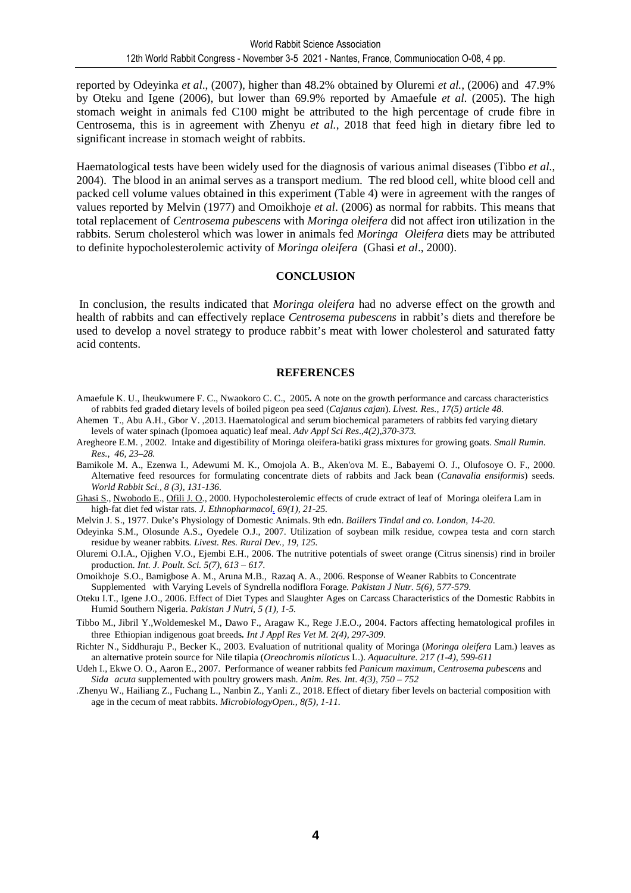reported by Odeyinka *et al*., (2007), higher than 48.2% obtained by Oluremi *et al.,* (2006) and 47.9% by Oteku and Igene (2006), but lower than 69.9% reported by Amaefule *et al*. (2005). The high stomach weight in animals fed C100 might be attributed to the high percentage of crude fibre in Centrosema, this is in agreement with Zhenyu *et al.*, 2018 that feed high in dietary fibre led to significant increase in stomach weight of rabbits.

Haematological tests have been widely used for the diagnosis of various animal diseases (Tibbo *et al.*, 2004). The blood in an animal serves as a transport medium. The red blood cell, white blood cell and packed cell volume values obtained in this experiment (Table 4) were in agreement with the ranges of values reported by Melvin (1977) and Omoikhoje *et al*. (2006) as normal for rabbits. This means that total replacement of *Centrosema pubescens* with *Moringa oleifera* did not affect iron utilization in the rabbits. Serum cholesterol which was lower in animals fed *Moringa Oleifera* diets may be attributed to definite hypocholesterolemic activity of *Moringa oleifera* (Ghasi *et al*., 2000).

#### **CONCLUSION**

 In conclusion, the results indicated that *Moringa oleifera* had no adverse effect on the growth and health of rabbits and can effectively replace *Centrosema pubescens* in rabbit's diets and therefore be used to develop a novel strategy to produce rabbit's meat with lower cholesterol and saturated fatty acid contents.

#### **REFERENCES**

- Amaefule K. U., Iheukwumere F. C., Nwaokoro C. C., 2005**.** A note on the growth performance and carcass characteristics of rabbits fed graded dietary levels of boiled pigeon pea seed (*Cajanus cajan*). *Livest. Res., 17(5) article 48.*
- Ahemen T., Abu A.H., Gbor V. ,2013. Haematological and serum biochemical parameters of rabbits fed varying dietary levels of water spinach (Ipomoea aquatic) leaf meal. *Adv Appl Sci Res*.,*4(2),370-373.*
- Aregheore E.M. , 2002. Intake and digestibility of Moringa oleifera-batiki grass mixtures for growing goats. *Small Rumin. Res., 46, 23–28.*
- Bamikole M. A., Ezenwa I., Adewumi M. K., Omojola A. B., Aken'ova M. E., Babayemi O. J., Olufosoye O. F., 2000. Alternative feed resources for formulating concentrate diets of rabbits and Jack bean (*Canavalia ensiformis*) seeds. *World Rabbit Sci., 8 (3), 131-136.*
- Ghasi S., Nwobodo E., Ofili J. O., 2000. Hypocholesterolemic effects of crude extract of leaf of Moringa oleifera Lam in high-fat diet fed wistar rats*. J. Ethnopharmacol. 69(1), 21-25.*
- Melvin J. S., 1977. Duke's Physiology of Domestic Animals. 9th edn. *Baillers Tindal and co. London, 14-20*.
- Odeyinka S.M., Olosunde A.S., Oyedele O.J., 2007. Utilization of soybean milk residue, cowpea testa and corn starch residue by weaner rabbits*. Livest. Res. Rural Dev., 19, 125.*
- Oluremi O.I.A., Ojighen V.O., Ejembi E.H., 2006. The nutritive potentials of sweet orange (Citrus sinensis) rind in broiler production*. Int. J. Poult. Sci. 5(7), 613 – 617*.
- Omoikhoje S.O., Bamigbose A. M., Aruna M.B., Razaq A. A., 2006. Response of Weaner Rabbits to Concentrate Supplemented with Varying Levels of Syndrella nodiflora Forage*. Pakistan J Nutr. 5(6), 577-579.*
- Oteku I.T., Igene J.O., 2006. Effect of Diet Types and Slaughter Ages on Carcass Characteristics of the Domestic Rabbits in Humid Southern Nigeria. *Pakistan J Nutri, 5 (1), 1-5.*
- Tibbo M., Jibril Y.,Woldemeskel M., Dawo F., Aragaw K., Rege J.E.O., 2004. Factors affecting hematological profiles in three Ethiopian indigenous goat breeds*. Int J Appl Res Vet M. 2(4), 297-309*.
- Richter N., Siddhuraju P., Becker K., 2003. Evaluation of nutritional quality of Moringa (*Moringa oleifera* Lam.) leaves as an alternative protein source for Nile tilapia (*Oreochromis niloticus* L.). *Aquaculture. 217 (1-4), 599-611*
- Udeh I., Ekwe O. O., Aaron E., 2007. Performance of weaner rabbits fed *Panicum maximum, Centrosema pubescens* and *Sida acuta* supplemented with poultry growers mash*. Anim. Res. Int*. *4(3), 750 – 752*
- *.*Zhenyu W., Hailiang Z., Fuchang L., Nanbin Z., Yanli Z., 2018. Effect of dietary fiber levels on bacterial composition with age in the cecum of meat rabbits. *MicrobiologyOpen., 8(5), 1-11.*